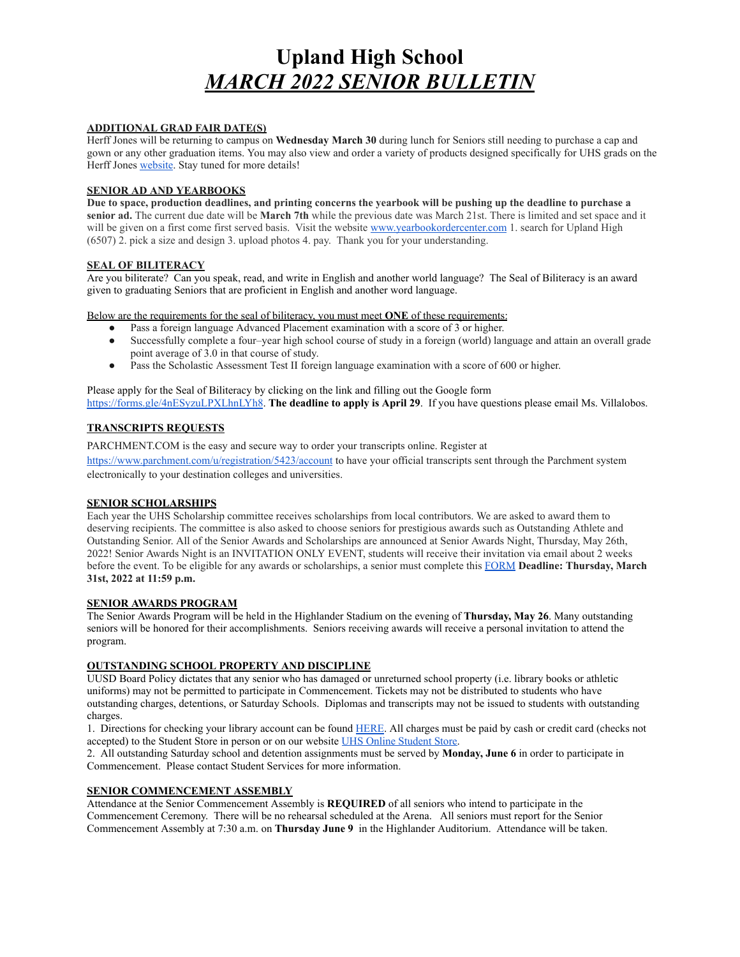# **Upland High School** *MARCH 2022 SENIOR BULLETIN*

#### **ADDITIONAL GRAD FAIR DATE(S)**

Herff Jones will be returning to campus on **Wednesday March 30** during lunch for Seniors still needing to purchase a cap and gown or any other graduation items. You may also view and order a variety of products designed specifically for UHS grads on the Herff Jones **[website](https://www.herffjones.com/schools/highschool/04007419000/)**. Stay tuned for more details!

#### **SENIOR AD AND YEARBOOKS**

**Due to space, production deadlines, and printing concerns the yearbook will be pushing up the deadline to purchase a senior ad.** The current due date will be **March 7th** while the previous date was March 21st. There is limited and set space and it will be given on a first come first served basis. Visit the website [www.yearbookordercenter.com](https://www.yearbookordercenter.com/) 1. search for Upland High (6507) 2. pick a size and design 3. upload photos 4. pay. Thank you for your understanding.

# **SEAL OF BILITERACY**

Are you biliterate? Can you speak, read, and write in English and another world language? The Seal of Biliteracy is an award given to graduating Seniors that are proficient in English and another word language.

Below are the requirements for the seal of biliteracy, you must meet **ONE** of these requirements:

- Pass a foreign language Advanced Placement examination with a score of 3 or higher.
- Successfully complete a four–year high school course of study in a foreign (world) language and attain an overall grade point average of 3.0 in that course of study.
- Pass the Scholastic Assessment Test II foreign language examination with a score of 600 or higher.

Please apply for the Seal of Biliteracy by clicking on the link and filling out the Google for[m](https://forms.gle/4nESyzuLPXLhnLYh8) [https://forms.gle/4nESyzuLPXLhnLYh8.](https://forms.gle/4nESyzuLPXLhnLYh8) **The deadline to apply is April 29**. If you have questions please email Ms. Villalobos.

## **TRANSCRIPTS REQUESTS**

PARCHMENT.COM is the easy and secure way to order your transcripts online. Register at <https://www.parchment.com/u/registration/5423/account> to have your official transcripts sent through the Parchment system electronically to your destination colleges and universities.

## **SENIOR SCHOLARSHIPS**

Each year the UHS Scholarship committee receives scholarships from local contributors. We are asked to award them to deserving recipients. The committee is also asked to choose seniors for prestigious awards such as Outstanding Athlete and Outstanding Senior. All of the Senior Awards and Scholarships are announced at Senior Awards Night, Thursday, May 26th, 2022! Senior Awards Night is an INVITATION ONLY EVENT, students will receive their invitation via email about 2 weeks before the event. To be eligible for any awards or scholarships, a senior must complete this [FORM](https://forms.gle/WT7wV3K2nAzRnX566) **Deadline: Thursday, March 31st, 2022 at 11:59 p.m.**

## **SENIOR AWARDS PROGRAM**

The Senior Awards Program will be held in the Highlander Stadium on the evening of **Thursday, May 26**. Many outstanding seniors will be honored for their accomplishments. Seniors receiving awards will receive a personal invitation to attend the program.

## **OUTSTANDING SCHOOL PROPERTY AND DISCIPLINE**

UUSD Board Policy dictates that any senior who has damaged or unreturned school property (i.e. library books or athletic uniforms) may not be permitted to participate in Commencement. Tickets may not be distributed to students who have outstanding charges, detentions, or Saturday Schools. Diplomas and transcripts may not be issued to students with outstanding charges.

1. Directions for checking your library account can be found [HERE.](https://uhs.upland.k12.ca.us/student-resources/uhs-library/check-your-library-account) All charges must be paid by cash or credit card (checks not accepted) to the Student Store in person or on our website [UHS Online Student Store.](https://uhs.myschoolcentral.com/asbworks/(S(0uq54ljikwzlbnnah1e3axr5))/apps/webstore/pages/WebStore.aspx)

2. All outstanding Saturday school and detention assignments must be served by **Monday, June 6** in order to participate in Commencement. Please contact Student Services for more information.

#### **SENIOR COMMENCEMENT ASSEMBLY**

Attendance at the Senior Commencement Assembly is **REQUIRED** of all seniors who intend to participate in the Commencement Ceremony. There will be no rehearsal scheduled at the Arena. All seniors must report for the Senior Commencement Assembly at 7:30 a.m. on **Thursday June 9** in the Highlander Auditorium. Attendance will be taken.